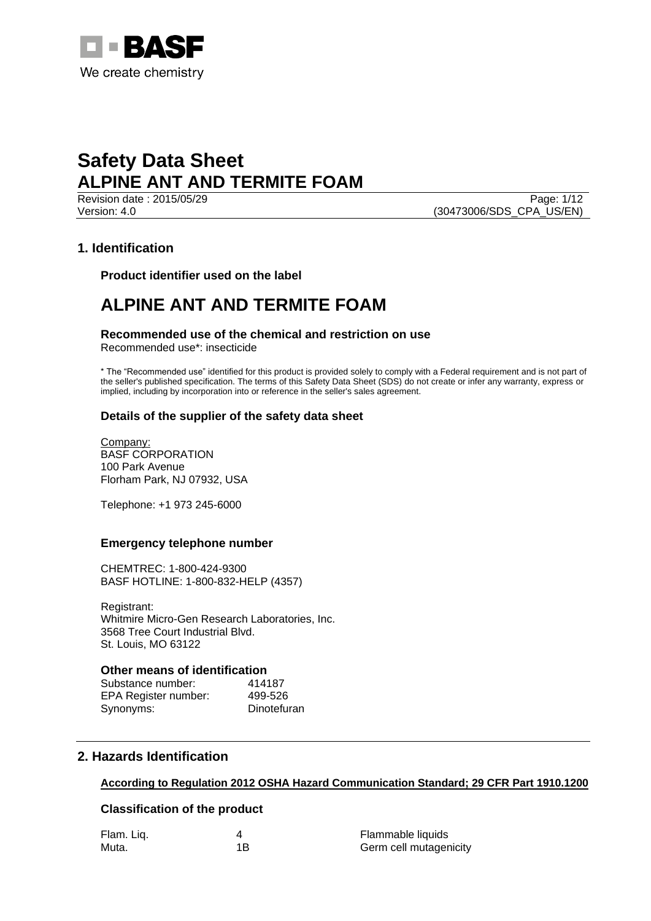

Revision date : 2015/05/29 Page: 1/12 Version: 4.0 (30473006/SDS\_CPA\_US/EN)

# **1. Identification**

**Product identifier used on the label**

# **ALPINE ANT AND TERMITE FOAM**

**Recommended use of the chemical and restriction on use**

Recommended use\*: insecticide

\* The "Recommended use" identified for this product is provided solely to comply with a Federal requirement and is not part of the seller's published specification. The terms of this Safety Data Sheet (SDS) do not create or infer any warranty, express or implied, including by incorporation into or reference in the seller's sales agreement.

# **Details of the supplier of the safety data sheet**

Company: BASF CORPORATION 100 Park Avenue Florham Park, NJ 07932, USA

Telephone: +1 973 245-6000

## **Emergency telephone number**

CHEMTREC: 1-800-424-9300 BASF HOTLINE: 1-800-832-HELP (4357)

Registrant: Whitmire Micro-Gen Research Laboratories, Inc. 3568 Tree Court Industrial Blvd. St. Louis, MO 63122

## **Other means of identification**

Substance number: 414187 EPA Register number: 499-526 Synonyms: Dinotefuran

# **2. Hazards Identification**

# **According to Regulation 2012 OSHA Hazard Communication Standard; 29 CFR Part 1910.1200**

## **Classification of the product**

| Flam. Liq. |     | Flammable liquids      |
|------------|-----|------------------------|
| Muta.      | 1 B | Germ cell mutagenicity |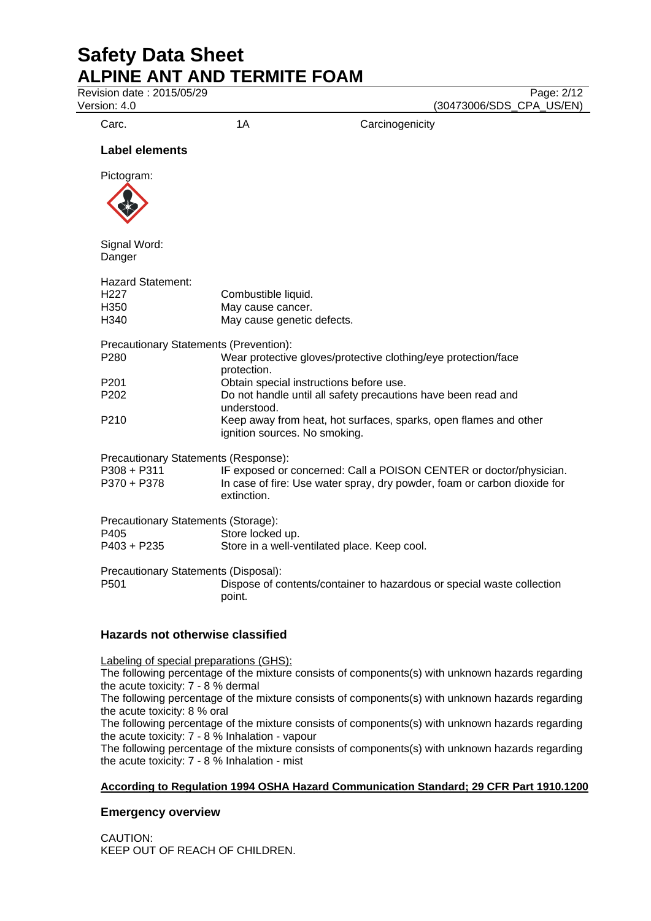Revision date : 2015/05/29 Page: 2/12

Version: 4.0 (30473006/SDS\_CPA\_US/EN)

Carc. 2008 1A Carcinogenicity

# **Label elements**

Pictogram:



Signal Word: Danger

| <b>Hazard Statement:</b><br>H <sub>227</sub><br>H350<br>H340 | Combustible liquid.<br>May cause cancer.<br>May cause genetic defects.                                                                                        |  |  |
|--------------------------------------------------------------|---------------------------------------------------------------------------------------------------------------------------------------------------------------|--|--|
| Precautionary Statements (Prevention):                       |                                                                                                                                                               |  |  |
| P <sub>280</sub>                                             | Wear protective gloves/protective clothing/eye protection/face<br>protection.                                                                                 |  |  |
| P <sub>201</sub>                                             | Obtain special instructions before use.                                                                                                                       |  |  |
| P <sub>202</sub>                                             | Do not handle until all safety precautions have been read and<br>understood.                                                                                  |  |  |
| P <sub>210</sub>                                             | Keep away from heat, hot surfaces, sparks, open flames and other<br>ignition sources. No smoking.                                                             |  |  |
| Precautionary Statements (Response):                         |                                                                                                                                                               |  |  |
| P308 + P311<br>P370 + P378                                   | IF exposed or concerned: Call a POISON CENTER or doctor/physician.<br>In case of fire: Use water spray, dry powder, foam or carbon dioxide for<br>extinction. |  |  |
| Precautionary Statements (Storage):<br>P405<br>P403 + P235   | Store locked up.<br>Store in a well-ventilated place. Keep cool.                                                                                              |  |  |
| Precautionary Statements (Disposal):<br>P <sub>501</sub>     | Dispose of contents/container to hazardous or special waste collection<br>point.                                                                              |  |  |

# **Hazards not otherwise classified**

Labeling of special preparations (GHS):

The following percentage of the mixture consists of components(s) with unknown hazards regarding the acute toxicity: 7 - 8 % dermal

The following percentage of the mixture consists of components(s) with unknown hazards regarding the acute toxicity: 8 % oral

The following percentage of the mixture consists of components(s) with unknown hazards regarding the acute toxicity: 7 - 8 % Inhalation - vapour

The following percentage of the mixture consists of components(s) with unknown hazards regarding the acute toxicity: 7 - 8 % Inhalation - mist

# **According to Regulation 1994 OSHA Hazard Communication Standard; 29 CFR Part 1910.1200**

# **Emergency overview**

CAUTION: KEEP OUT OF REACH OF CHILDREN.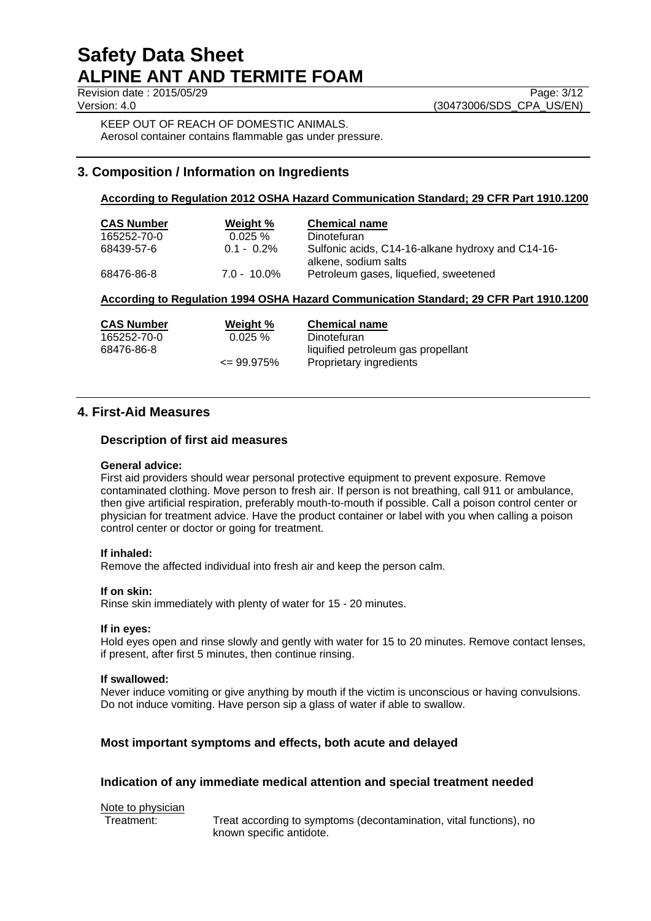**Revision date : 2015/05/29** Page: 3/12

Version: 4.0 (30473006/SDS\_CPA\_US/EN)

KEEP OUT OF REACH OF DOMESTIC ANIMALS. Aerosol container contains flammable gas under pressure.

# **3. Composition / Information on Ingredients**

## **According to Regulation 2012 OSHA Hazard Communication Standard; 29 CFR Part 1910.1200**

| <b>CAS Number</b><br>165252-70-0 | Weight %<br>$0.025 \%$ | <b>Chemical name</b><br>Dinotefuran                                       |
|----------------------------------|------------------------|---------------------------------------------------------------------------|
| 68439-57-6                       | $0.1 - 0.2\%$          | Sulfonic acids, C14-16-alkane hydroxy and C14-16-<br>alkene, sodium salts |
| 68476-86-8                       | $7.0 - 10.0\%$         | Petroleum gases, liquefied, sweetened                                     |

## **According to Regulation 1994 OSHA Hazard Communication Standard; 29 CFR Part 1910.1200**

| <b>CAS Number</b> | Weight %       | <b>Chemical name</b>               |
|-------------------|----------------|------------------------------------|
| 165252-70-0       | $0.025 \%$     | Dinotefuran                        |
| 68476-86-8        |                | liquified petroleum gas propellant |
|                   | $\leq$ 99.975% | Proprietary ingredients            |

# **4. First-Aid Measures**

## **Description of first aid measures**

## **General advice:**

First aid providers should wear personal protective equipment to prevent exposure. Remove contaminated clothing. Move person to fresh air. If person is not breathing, call 911 or ambulance, then give artificial respiration, preferably mouth-to-mouth if possible. Call a poison control center or physician for treatment advice. Have the product container or label with you when calling a poison control center or doctor or going for treatment.

## **If inhaled:**

Remove the affected individual into fresh air and keep the person calm.

## **If on skin:**

Rinse skin immediately with plenty of water for 15 - 20 minutes.

## **If in eyes:**

Hold eyes open and rinse slowly and gently with water for 15 to 20 minutes. Remove contact lenses, if present, after first 5 minutes, then continue rinsing.

## **If swallowed:**

Never induce vomiting or give anything by mouth if the victim is unconscious or having convulsions. Do not induce vomiting. Have person sip a glass of water if able to swallow.

## **Most important symptoms and effects, both acute and delayed**

## **Indication of any immediate medical attention and special treatment needed**

Note to physician<br>Treatment:

Treat according to symptoms (decontamination, vital functions), no known specific antidote.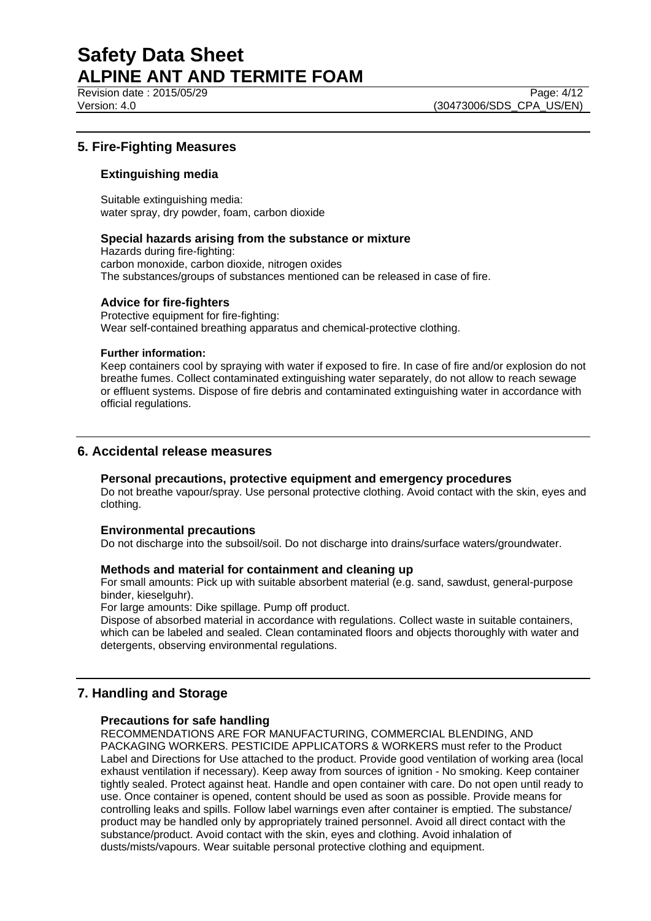Revision date : 2015/05/29 Page: 4/12

Version: 4.0 (30473006/SDS\_CPA\_US/EN)

# **5. Fire-Fighting Measures**

## **Extinguishing media**

Suitable extinguishing media: water spray, dry powder, foam, carbon dioxide

## **Special hazards arising from the substance or mixture**

Hazards during fire-fighting: carbon monoxide, carbon dioxide, nitrogen oxides The substances/groups of substances mentioned can be released in case of fire.

## **Advice for fire-fighters**

Protective equipment for fire-fighting: Wear self-contained breathing apparatus and chemical-protective clothing.

## **Further information:**

Keep containers cool by spraying with water if exposed to fire. In case of fire and/or explosion do not breathe fumes. Collect contaminated extinguishing water separately, do not allow to reach sewage or effluent systems. Dispose of fire debris and contaminated extinguishing water in accordance with official regulations.

# **6. Accidental release measures**

## **Personal precautions, protective equipment and emergency procedures**

Do not breathe vapour/spray. Use personal protective clothing. Avoid contact with the skin, eyes and clothing.

## **Environmental precautions**

Do not discharge into the subsoil/soil. Do not discharge into drains/surface waters/groundwater.

## **Methods and material for containment and cleaning up**

For small amounts: Pick up with suitable absorbent material (e.g. sand, sawdust, general-purpose binder, kieselguhr).

For large amounts: Dike spillage. Pump off product.

Dispose of absorbed material in accordance with regulations. Collect waste in suitable containers, which can be labeled and sealed. Clean contaminated floors and objects thoroughly with water and detergents, observing environmental regulations.

# **7. Handling and Storage**

## **Precautions for safe handling**

RECOMMENDATIONS ARE FOR MANUFACTURING, COMMERCIAL BLENDING, AND PACKAGING WORKERS. PESTICIDE APPLICATORS & WORKERS must refer to the Product Label and Directions for Use attached to the product. Provide good ventilation of working area (local exhaust ventilation if necessary). Keep away from sources of ignition - No smoking. Keep container tightly sealed. Protect against heat. Handle and open container with care. Do not open until ready to use. Once container is opened, content should be used as soon as possible. Provide means for controlling leaks and spills. Follow label warnings even after container is emptied. The substance/ product may be handled only by appropriately trained personnel. Avoid all direct contact with the substance/product. Avoid contact with the skin, eyes and clothing. Avoid inhalation of dusts/mists/vapours. Wear suitable personal protective clothing and equipment.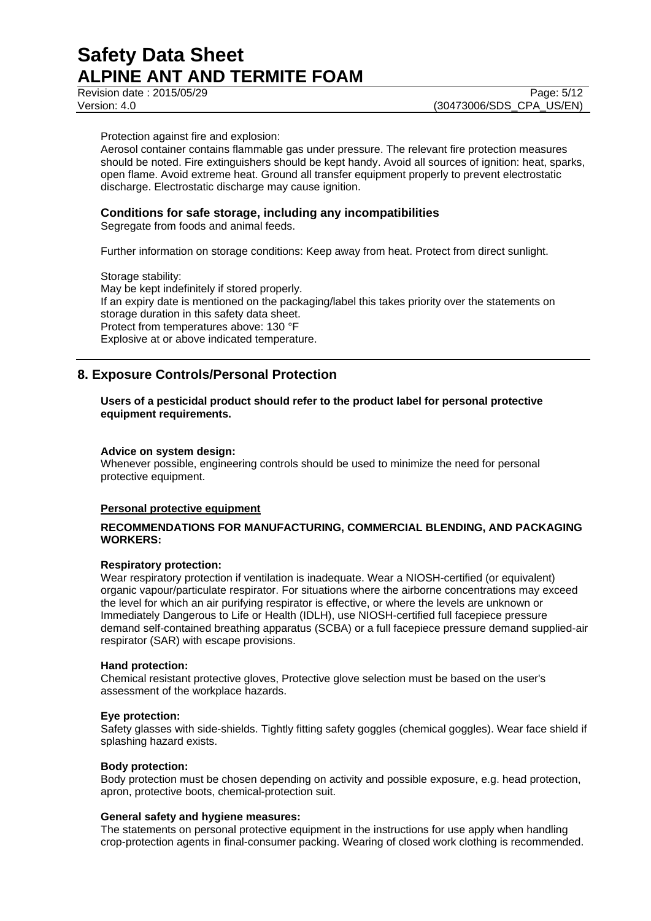Revision date : 2015/05/29 Page: 5/12

Protection against fire and explosion:

Aerosol container contains flammable gas under pressure. The relevant fire protection measures should be noted. Fire extinguishers should be kept handy. Avoid all sources of ignition: heat, sparks, open flame. Avoid extreme heat. Ground all transfer equipment properly to prevent electrostatic discharge. Electrostatic discharge may cause ignition.

## **Conditions for safe storage, including any incompatibilities**

Segregate from foods and animal feeds.

Further information on storage conditions: Keep away from heat. Protect from direct sunlight.

Storage stability: May be kept indefinitely if stored properly. If an expiry date is mentioned on the packaging/label this takes priority over the statements on storage duration in this safety data sheet. Protect from temperatures above: 130 °F Explosive at or above indicated temperature.

# **8. Exposure Controls/Personal Protection**

## **Users of a pesticidal product should refer to the product label for personal protective equipment requirements.**

#### **Advice on system design:**

Whenever possible, engineering controls should be used to minimize the need for personal protective equipment.

## **Personal protective equipment**

## **RECOMMENDATIONS FOR MANUFACTURING, COMMERCIAL BLENDING, AND PACKAGING WORKERS:**

## **Respiratory protection:**

Wear respiratory protection if ventilation is inadequate. Wear a NIOSH-certified (or equivalent) organic vapour/particulate respirator. For situations where the airborne concentrations may exceed the level for which an air purifying respirator is effective, or where the levels are unknown or Immediately Dangerous to Life or Health (IDLH), use NIOSH-certified full facepiece pressure demand self-contained breathing apparatus (SCBA) or a full facepiece pressure demand supplied-air respirator (SAR) with escape provisions.

#### **Hand protection:**

Chemical resistant protective gloves, Protective glove selection must be based on the user's assessment of the workplace hazards.

## **Eye protection:**

Safety glasses with side-shields. Tightly fitting safety goggles (chemical goggles). Wear face shield if splashing hazard exists.

#### **Body protection:**

Body protection must be chosen depending on activity and possible exposure, e.g. head protection, apron, protective boots, chemical-protection suit.

#### **General safety and hygiene measures:**

The statements on personal protective equipment in the instructions for use apply when handling crop-protection agents in final-consumer packing. Wearing of closed work clothing is recommended.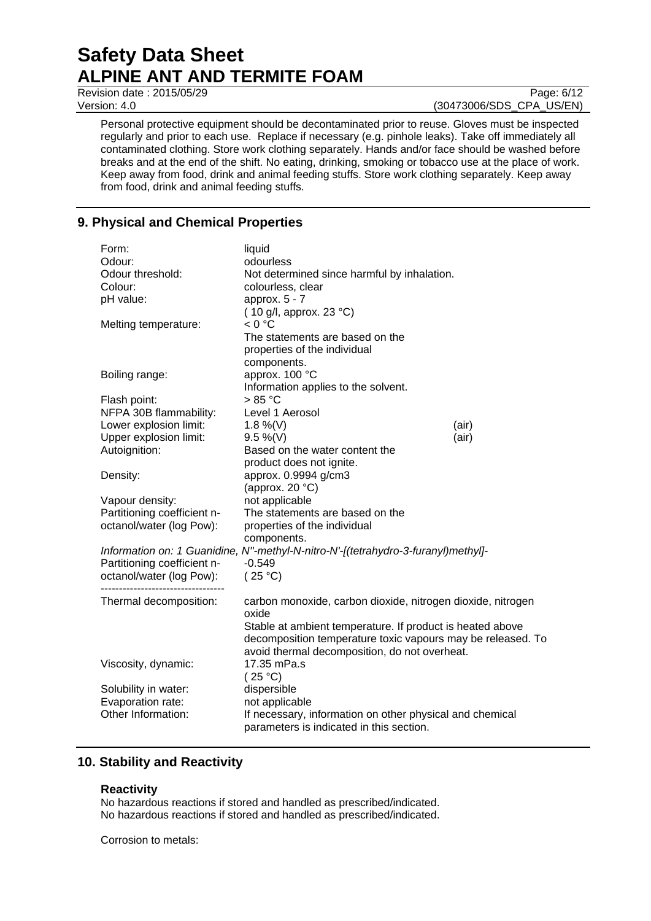**Revision date : 2015/05/29** Page: 6/12

Version: 4.0 (30473006/SDS\_CPA\_US/EN)

Personal protective equipment should be decontaminated prior to reuse. Gloves must be inspected regularly and prior to each use. Replace if necessary (e.g. pinhole leaks). Take off immediately all contaminated clothing. Store work clothing separately. Hands and/or face should be washed before breaks and at the end of the shift. No eating, drinking, smoking or tobacco use at the place of work. Keep away from food, drink and animal feeding stuffs. Store work clothing separately. Keep away from food, drink and animal feeding stuffs.

# **9. Physical and Chemical Properties**

| Form:                                                                          | liquid                                                                            |       |
|--------------------------------------------------------------------------------|-----------------------------------------------------------------------------------|-------|
| Odour:                                                                         | odourless                                                                         |       |
| Odour threshold:                                                               | Not determined since harmful by inhalation.                                       |       |
| Colour:                                                                        | colourless, clear                                                                 |       |
| pH value:                                                                      | approx. $5 - 7$                                                                   |       |
|                                                                                | (10 g/l, approx. 23 $^{\circ}$ C)                                                 |       |
| Melting temperature:                                                           | < 0 °C                                                                            |       |
|                                                                                | The statements are based on the                                                   |       |
|                                                                                | properties of the individual                                                      |       |
|                                                                                | components.                                                                       |       |
| Boiling range:                                                                 | approx. 100 °C                                                                    |       |
|                                                                                | Information applies to the solvent.                                               |       |
| Flash point:                                                                   | $>85^{\circ}$ C                                                                   |       |
| NFPA 30B flammability:                                                         | Level 1 Aerosol                                                                   |       |
| Lower explosion limit:                                                         | 1.8 %(V)                                                                          | (air) |
| Upper explosion limit:                                                         | $9.5 \%$ (V)                                                                      | (air) |
| Autoignition:                                                                  | Based on the water content the                                                    |       |
|                                                                                | product does not ignite.                                                          |       |
| Density:                                                                       | approx. 0.9994 g/cm3                                                              |       |
|                                                                                | (approx. $20 °C$ )                                                                |       |
| Vapour density:                                                                | not applicable                                                                    |       |
| Partitioning coefficient n-                                                    | The statements are based on the                                                   |       |
| octanol/water (log Pow):                                                       | properties of the individual                                                      |       |
|                                                                                | components.                                                                       |       |
|                                                                                | Information on: 1 Guanidine, N"-methyl-N-nitro-N'-[(tetrahydro-3-furanyl)methyl]- |       |
| Partitioning coefficient n-                                                    | $-0.549$                                                                          |       |
| octanol/water (log Pow):                                                       | (25 °C)                                                                           |       |
| ---------------------------------                                              |                                                                                   |       |
| Thermal decomposition:                                                         | carbon monoxide, carbon dioxide, nitrogen dioxide, nitrogen                       |       |
|                                                                                | oxide                                                                             |       |
|                                                                                | Stable at ambient temperature. If product is heated above                         |       |
|                                                                                | decomposition temperature toxic vapours may be released. To                       |       |
|                                                                                | avoid thermal decomposition, do not overheat.                                     |       |
| Viscosity, dynamic:                                                            | 17.35 mPa.s                                                                       |       |
|                                                                                | (25 °C)                                                                           |       |
| Solubility in water:                                                           | dispersible                                                                       |       |
| Evaporation rate:                                                              | not applicable                                                                    |       |
| Other Information:<br>If necessary, information on other physical and chemical |                                                                                   |       |
|                                                                                | parameters is indicated in this section.                                          |       |
|                                                                                |                                                                                   |       |

# **10. Stability and Reactivity**

## **Reactivity**

No hazardous reactions if stored and handled as prescribed/indicated. No hazardous reactions if stored and handled as prescribed/indicated.

Corrosion to metals: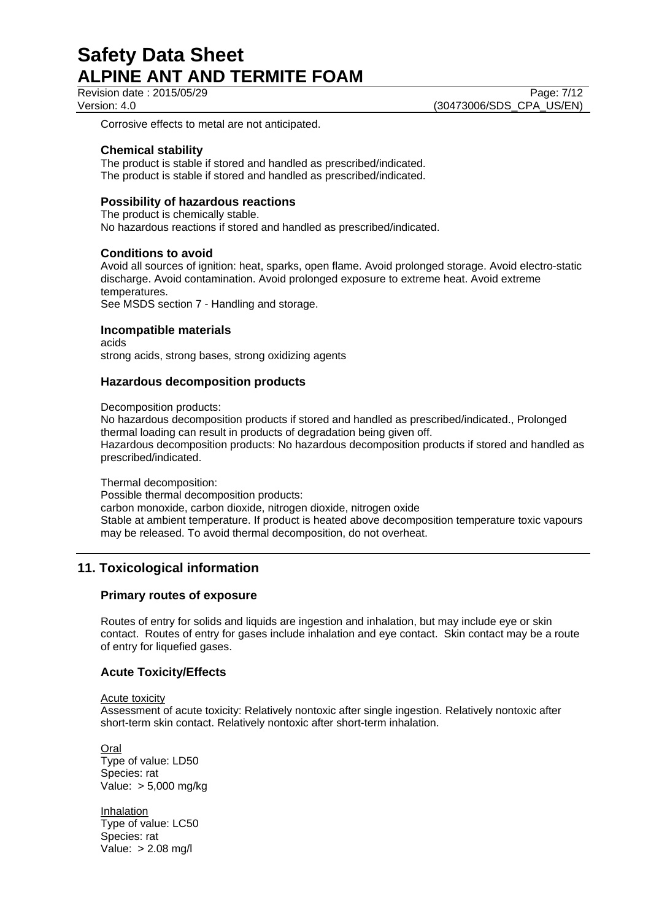Revision date : 2015/05/29 Page: 7/12 Version: 4.0 (30473006/SDS\_CPA\_US/EN)

Corrosive effects to metal are not anticipated.

## **Chemical stability**

The product is stable if stored and handled as prescribed/indicated. The product is stable if stored and handled as prescribed/indicated.

## **Possibility of hazardous reactions**

The product is chemically stable. No hazardous reactions if stored and handled as prescribed/indicated.

## **Conditions to avoid**

Avoid all sources of ignition: heat, sparks, open flame. Avoid prolonged storage. Avoid electro-static discharge. Avoid contamination. Avoid prolonged exposure to extreme heat. Avoid extreme temperatures.

See MSDS section 7 - Handling and storage.

## **Incompatible materials**

acids strong acids, strong bases, strong oxidizing agents

## **Hazardous decomposition products**

Decomposition products:

No hazardous decomposition products if stored and handled as prescribed/indicated., Prolonged thermal loading can result in products of degradation being given off. Hazardous decomposition products: No hazardous decomposition products if stored and handled as prescribed/indicated.

Thermal decomposition:

Possible thermal decomposition products:

carbon monoxide, carbon dioxide, nitrogen dioxide, nitrogen oxide Stable at ambient temperature. If product is heated above decomposition temperature toxic vapours may be released. To avoid thermal decomposition, do not overheat.

# **11. Toxicological information**

## **Primary routes of exposure**

Routes of entry for solids and liquids are ingestion and inhalation, but may include eye or skin contact. Routes of entry for gases include inhalation and eye contact. Skin contact may be a route of entry for liquefied gases.

## **Acute Toxicity/Effects**

## Acute toxicity

Assessment of acute toxicity: Relatively nontoxic after single ingestion. Relatively nontoxic after short-term skin contact. Relatively nontoxic after short-term inhalation.

Oral Type of value: LD50 Species: rat Value: > 5,000 mg/kg

Inhalation Type of value: LC50 Species: rat Value: > 2.08 mg/l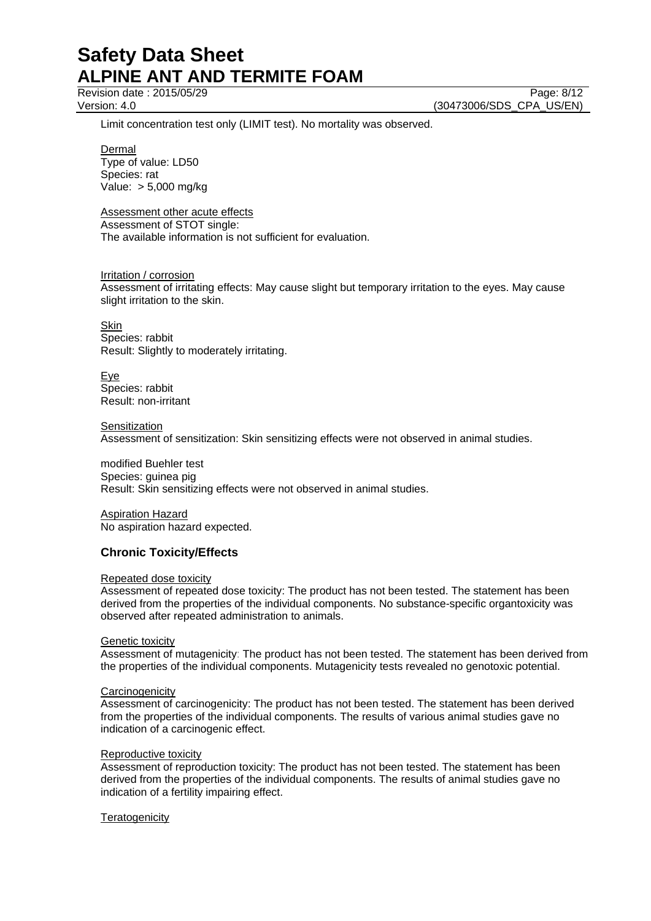Revision date : 2015/05/29 Page: 8/12

Version: 4.0 (30473006/SDS\_CPA\_US/EN)

Limit concentration test only (LIMIT test). No mortality was observed.

**Dermal** 

Type of value: LD50 Species: rat Value: > 5,000 mg/kg

## Assessment other acute effects

Assessment of STOT single: The available information is not sufficient for evaluation.

## Irritation / corrosion

Assessment of irritating effects: May cause slight but temporary irritation to the eyes. May cause slight irritation to the skin.

**Skin** Species: rabbit Result: Slightly to moderately irritating.

Eye Species: rabbit Result: non-irritant

**Sensitization** Assessment of sensitization: Skin sensitizing effects were not observed in animal studies.

modified Buehler test Species: guinea pig Result: Skin sensitizing effects were not observed in animal studies.

Aspiration Hazard No aspiration hazard expected.

## **Chronic Toxicity/Effects**

## Repeated dose toxicity

Assessment of repeated dose toxicity: The product has not been tested. The statement has been derived from the properties of the individual components. No substance-specific organtoxicity was observed after repeated administration to animals.

## Genetic toxicity

Assessment of mutagenicity: The product has not been tested. The statement has been derived from the properties of the individual components. Mutagenicity tests revealed no genotoxic potential.

## **Carcinogenicity**

Assessment of carcinogenicity: The product has not been tested. The statement has been derived from the properties of the individual components. The results of various animal studies gave no indication of a carcinogenic effect.

## Reproductive toxicity

Assessment of reproduction toxicity: The product has not been tested. The statement has been derived from the properties of the individual components. The results of animal studies gave no indication of a fertility impairing effect.

## **Teratogenicity**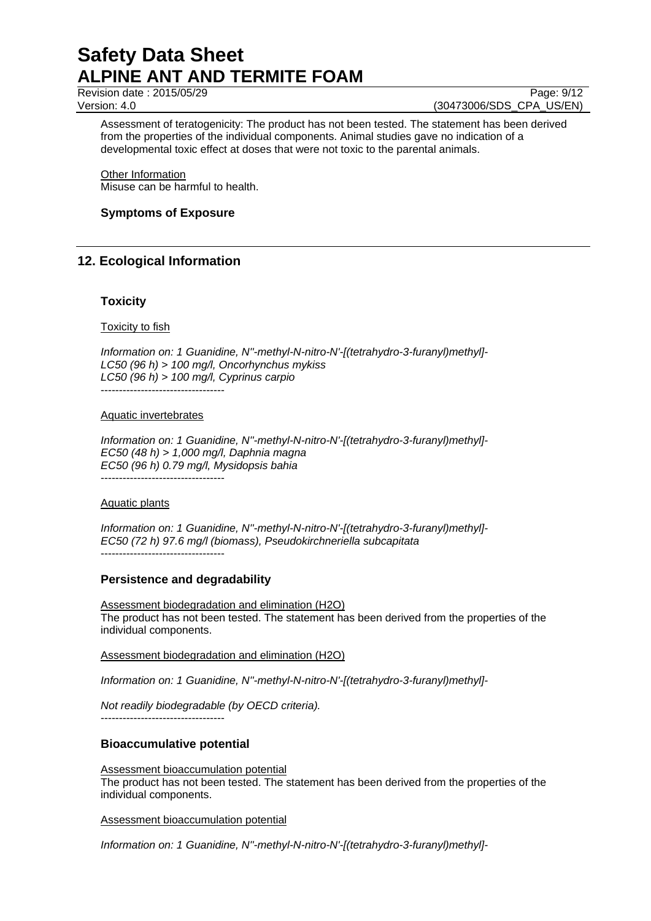Revision date : 2015/05/29 Page: 9/12

Version: 4.0 (30473006/SDS\_CPA\_US/EN)

Assessment of teratogenicity: The product has not been tested. The statement has been derived from the properties of the individual components. Animal studies gave no indication of a developmental toxic effect at doses that were not toxic to the parental animals.

Other Information Misuse can be harmful to health.

## **Symptoms of Exposure**

# **12. Ecological Information**

## **Toxicity**

Toxicity to fish

*Information on: 1 Guanidine, N''-methyl-N-nitro-N'-[(tetrahydro-3-furanyl)methyl]- LC50 (96 h) > 100 mg/l, Oncorhynchus mykiss LC50 (96 h) > 100 mg/l, Cyprinus carpio* ----------------------------------

#### Aquatic invertebrates

*Information on: 1 Guanidine, N''-methyl-N-nitro-N'-[(tetrahydro-3-furanyl)methyl]- EC50 (48 h) > 1,000 mg/l, Daphnia magna EC50 (96 h) 0.79 mg/l, Mysidopsis bahia*  $-$ 

## Aquatic plants

*Information on: 1 Guanidine, N''-methyl-N-nitro-N'-[(tetrahydro-3-furanyl)methyl]- EC50 (72 h) 97.6 mg/l (biomass), Pseudokirchneriella subcapitata* ----------------------------------

## **Persistence and degradability**

Assessment biodegradation and elimination (H2O) The product has not been tested. The statement has been derived from the properties of the individual components.

## Assessment biodegradation and elimination (H2O)

*Information on: 1 Guanidine, N''-methyl-N-nitro-N'-[(tetrahydro-3-furanyl)methyl]-*

*Not readily biodegradable (by OECD criteria).* ----------------------------------

# **Bioaccumulative potential**

#### Assessment bioaccumulation potential

The product has not been tested. The statement has been derived from the properties of the individual components.

Assessment bioaccumulation potential

*Information on: 1 Guanidine, N''-methyl-N-nitro-N'-[(tetrahydro-3-furanyl)methyl]-*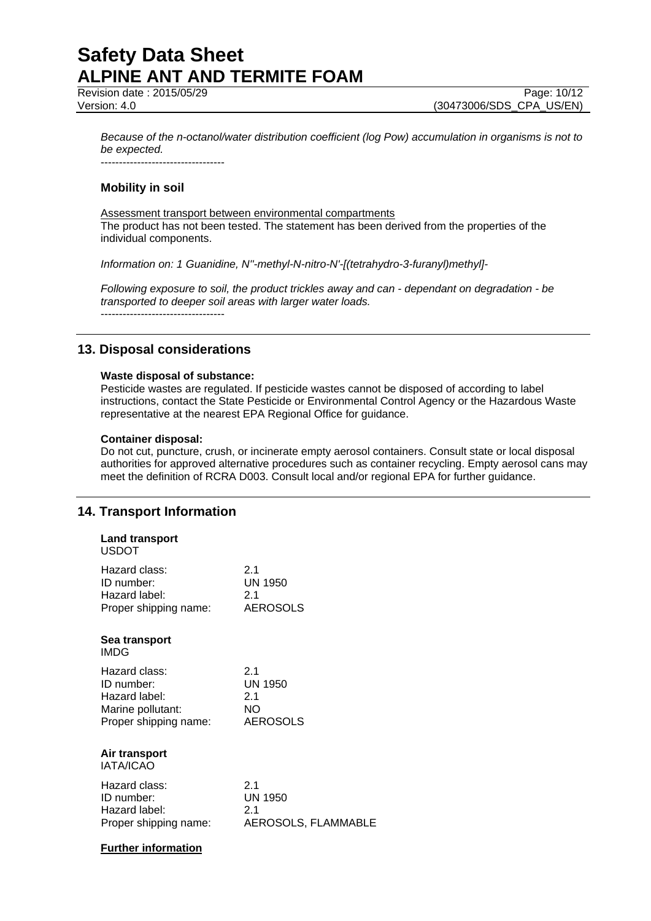**Revision date : 2015/05/29** Page: 10/12

Version: 4.0 (30473006/SDS\_CPA\_US/EN)

*Because of the n-octanol/water distribution coefficient (log Pow) accumulation in organisms is not to be expected.* ----------------------------------

## **Mobility in soil**

Assessment transport between environmental compartments The product has not been tested. The statement has been derived from the properties of the individual components.

*Information on: 1 Guanidine, N''-methyl-N-nitro-N'-[(tetrahydro-3-furanyl)methyl]-*

*Following exposure to soil, the product trickles away and can - dependant on degradation - be transported to deeper soil areas with larger water loads.* ----------------------------------

# **13. Disposal considerations**

## **Waste disposal of substance:**

Pesticide wastes are regulated. If pesticide wastes cannot be disposed of according to label instructions, contact the State Pesticide or Environmental Control Agency or the Hazardous Waste representative at the nearest EPA Regional Office for guidance.

## **Container disposal:**

Do not cut, puncture, crush, or incinerate empty aerosol containers. Consult state or local disposal authorities for approved alternative procedures such as container recycling. Empty aerosol cans may meet the definition of RCRA D003. Consult local and/or regional EPA for further guidance.

## **14. Transport Information**

| <b>Land transport</b><br><b>USDOT</b> |                     |
|---------------------------------------|---------------------|
| Hazard class:                         | 21                  |
| ID number:                            | <b>UN 1950</b>      |
| Hazard label:                         | 21                  |
| Proper shipping name:                 | <b>AEROSOLS</b>     |
| Sea transport<br>IMDG                 |                     |
| Hazard class:                         | 21                  |
| ID numher:                            | <b>UN 1950</b>      |
| Hazard label:                         | 2.1                 |
| Marine pollutant:                     | NΟ                  |
| Proper shipping name:                 | <b>AEROSOLS</b>     |
| Air transport<br><b>IATA/ICAO</b>     |                     |
| Hazard class:                         | 21                  |
| ID number:                            | <b>UN 1950</b>      |
| Hazard label:                         | 21                  |
| Proper shipping name:                 | AEROSOLS, FLAMMABLE |

## **Further information**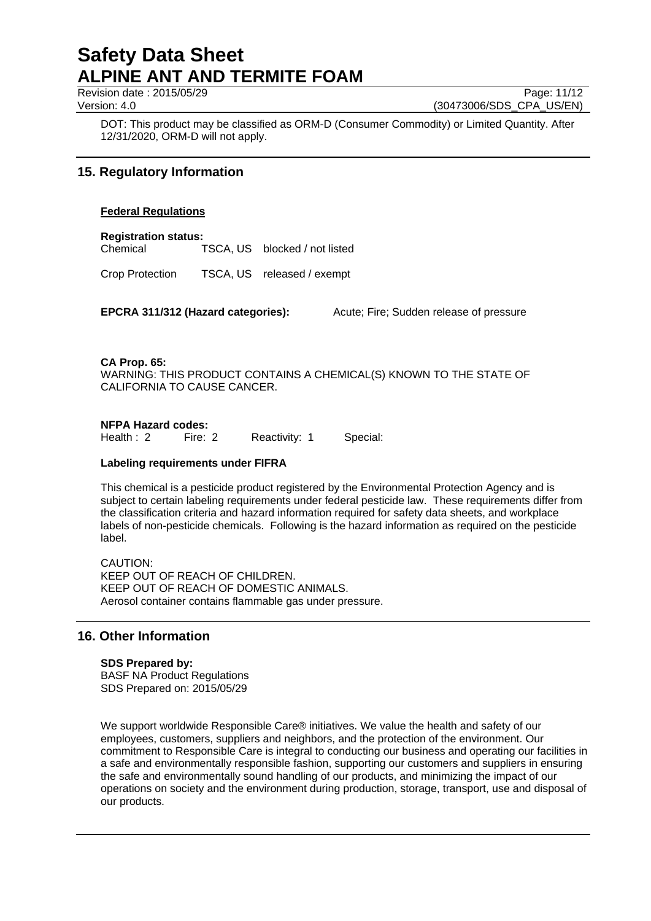Revision date : 2015/05/29 Page: 11/12

Version: 4.0 (30473006/SDS\_CPA\_US/EN)

DOT: This product may be classified as ORM-D (Consumer Commodity) or Limited Quantity. After 12/31/2020, ORM-D will not apply.

# **15. Regulatory Information**

## **Federal Regulations**

**Registration status:** Chemical TSCA, US blocked / not listed

Crop Protection TSCA, US released / exempt

**EPCRA 311/312 (Hazard categories):** Acute; Fire; Sudden release of pressure

**CA Prop. 65:** WARNING: THIS PRODUCT CONTAINS A CHEMICAL(S) KNOWN TO THE STATE OF CALIFORNIA TO CAUSE CANCER.

**NFPA Hazard codes:**<br>Health : 2 Fire: 2 Reactivity: 1 Special:

## **Labeling requirements under FIFRA**

This chemical is a pesticide product registered by the Environmental Protection Agency and is subject to certain labeling requirements under federal pesticide law. These requirements differ from the classification criteria and hazard information required for safety data sheets, and workplace labels of non-pesticide chemicals. Following is the hazard information as required on the pesticide label.

CAUTION: KEEP OUT OF REACH OF CHILDREN. KEEP OUT OF REACH OF DOMESTIC ANIMALS. Aerosol container contains flammable gas under pressure.

# **16. Other Information**

## **SDS Prepared by:**

BASF NA Product Regulations SDS Prepared on: 2015/05/29

We support worldwide Responsible Care® initiatives. We value the health and safety of our employees, customers, suppliers and neighbors, and the protection of the environment. Our commitment to Responsible Care is integral to conducting our business and operating our facilities in a safe and environmentally responsible fashion, supporting our customers and suppliers in ensuring the safe and environmentally sound handling of our products, and minimizing the impact of our operations on society and the environment during production, storage, transport, use and disposal of our products.